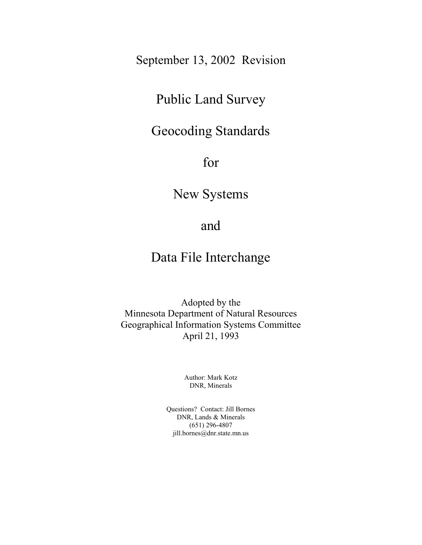September 13, 2002 Revision

# Public Land Survey

# Geocoding Standards

for

New Systems

# and

# Data File Interchange

Adopted by the Minnesota Department of Natural Resources Geographical Information Systems Committee April 21, 1993

> Author: Mark Kotz DNR, Minerals

Questions? Contact: Jill Bornes DNR, Lands & Minerals (651) 296-4807 jill.bornes@dnr.state.mn.us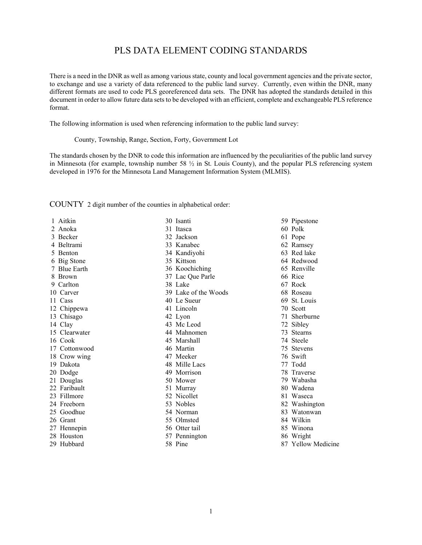# PLS DATA ELEMENT CODING STANDARDS

There is a need in the DNR as well as among various state, county and local government agencies and the private sector, to exchange and use a variety of data referenced to the public land survey. Currently, even within the DNR, many different formats are used to code PLS georeferenced data sets. The DNR has adopted the standards detailed in this document in order to allow future data sets to be developed with an efficient, complete and exchangeable PLS reference format.

The following information is used when referencing information to the public land survey:

County, Township, Range, Section, Forty, Government Lot

The standards chosen by the DNR to code this information are influenced by the peculiarities of the public land survey in Minnesota (for example, township number 58  $\frac{1}{2}$  in St. Louis County), and the popular PLS referencing system developed in 1976 for the Minnesota Land Management Information System (MLMIS).

COUNTY 2 digit number of the counties in alphabetical order:

 1 Aitkin 2 Anoka 3 Becker 4 Beltrami 5 Benton 6 Big Stone 7 Blue Earth 8 Brown 9 Carlton 10 Carver 11 Cass 12 Chippewa 13 Chisago 14 Clay 15 Clearwater 16 Cook 17 Cottonwood 18 Crow wing 19 Dakota 20 Dodge 21 Douglas 22 Faribault 23 Fillmore 24 Freeborn 25 Goodhue 26 Grant 27 Hennepin 28 Houston

29 Hubbard

30 Isanti 31 Itasca 32 Jackson 33 Kanabec 34 Kandiyohi 35 Kittson 36 Koochiching 37 Lac Que Parle 38 Lake 39 Lake of the Woods 40 Le Sueur 41 Lincoln 42 Lyon 43 Mc Leod 44 Mahnomen 45 Marshall 46 Martin 47 Meeker 48 Mille Lacs 49 Morrison 50 Mower 51 Murray 52 Nicollet 53 Nobles 54 Norman 55 Olmsted 56 Otter tail 57 Pennington

58 Pine

59 Pipestone 60 Polk 61 Pope 62 Ramsey 63 Red lake 64 Redwood 65 Renville 66 Rice 67 Rock 68 Roseau 69 St. Louis 70 Scott 71 Sherburne 72 Sibley 73 Stearns 74 Steele 75 Stevens 76 Swift 77 Todd 78 Traverse 79 Wabasha 80 Wadena 81 Waseca 82 Washington 83 Watonwan 84 Wilkin 85 Winona 86 Wright 87 Yellow Medicine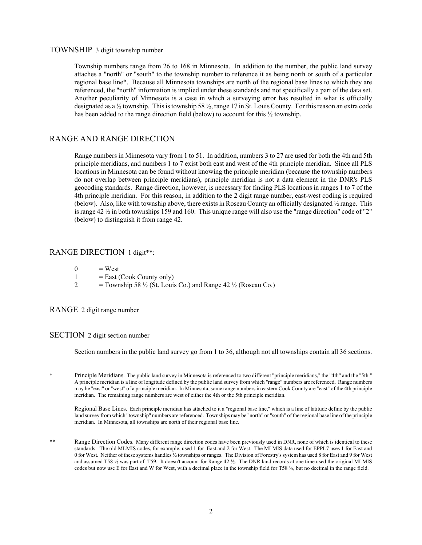## TOWNSHIP 3 digit township number

Township numbers range from 26 to 168 in Minnesota. In addition to the number, the public land survey attaches a "north" or "south" to the township number to reference it as being north or south of a particular regional base line\*. Because all Minnesota townships are north of the regional base lines to which they are referenced, the "north" information is implied under these standards and not specifically a part of the data set. Another peculiarity of Minnesota is a case in which a surveying error has resulted in what is officially designated as a ½ township. This is township 58 ½, range 17 in St. Louis County. For this reason an extra code has been added to the range direction field (below) to account for this ½ township.

# RANGE AND RANGE DIRECTION

Range numbers in Minnesota vary from 1 to 51. In addition, numbers 3 to 27 are used for both the 4th and 5th principle meridians, and numbers 1 to 7 exist both east and west of the 4th principle meridian. Since all PLS locations in Minnesota can be found without knowing the principle meridian (because the township numbers do not overlap between principle meridians), principle meridian is not a data element in the DNR's PLS geocoding standards. Range direction, however, is necessary for finding PLS locations in ranges 1 to 7 of the 4th principle meridian. For this reason, in addition to the 2 digit range number, east-west coding is required (below). Also, like with township above, there exists in Roseau County an officially designated ½ range. This is range 42 ½ in both townships 159 and 160. This unique range will also use the "range direction" code of "2" (below) to distinguish it from range 42.

## RANGE DIRECTION 1 digit\*\*:

- $0 = West$
- $1 =$  East (Cook County only)
- 2 = Township 58  $\frac{1}{2}$  (St. Louis Co.) and Range 42  $\frac{1}{2}$  (Roseau Co.)

RANGE 2 digit range number

## SECTION 2 digit section number

Section numbers in the public land survey go from 1 to 36, although not all townships contain all 36 sections.

Principle Meridians. The public land survey in Minnesota is referenced to two different "principle meridians," the "4th" and the "5th." A principle meridian is a line of longitude defined by the public land survey from which "range" numbers are referenced. Range numbers may be "east" or "west" of a principle meridian. In Minnesota, some range numbers in eastern Cook County are "east" of the 4th principle meridian. The remaining range numbers are west of either the 4th or the 5th principle meridian.

Regional Base Lines. Each principle meridian has attached to it a "regional base line," which is a line of latitude define by the public land survey from which "township" numbers are referenced. Townships may be "north" or "south" of the regional base line of the principle meridian. In Minnesota, all townships are north of their regional base line.

\*\* Range Direction Codes. Many different range direction codes have been previously used in DNR, none of which is identical to these standards. The old MLMIS codes, for example, used 1 for East and 2 for West. The MLMIS data used for EPPL7 uses 1 for East and 0 for West. Neither of these systems handles ½ townships or ranges. The Division of Forestry's system has used 8 for East and 9 for West and assumed T58 ½ was part of T59. It doesn't account for Range 42 ½. The DNR land records at one time used the original MLMIS codes but now use E for East and W for West, with a decimal place in the township field for T58 ½, but no decimal in the range field.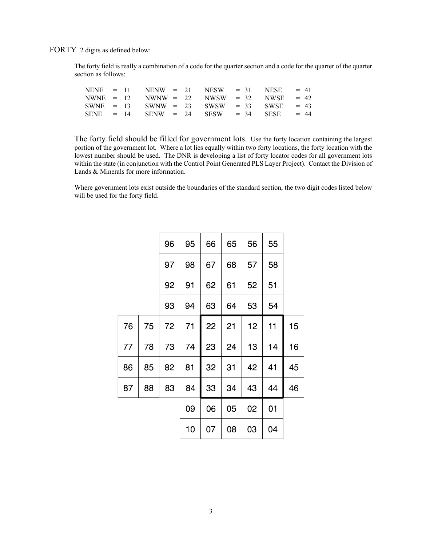FORTY 2 digits as defined below:

The forty field is really a combination of a code for the quarter section and a code for the quarter of the quarter section as follows:

|  |  |  | NENE = 11 NENW = 21 NESW = 31 NESE = 41         |             |  |
|--|--|--|-------------------------------------------------|-------------|--|
|  |  |  | NWNE = $12$ NWNW = $22$ NWSW = $32$ NWSE = $42$ |             |  |
|  |  |  | SWNE = $13$ SWNW = $23$ SWSW = $33$ SWSE = $43$ |             |  |
|  |  |  | $SENE = 14$ $SENW = 24$ $SESW = 34$             | $SESE = 44$ |  |

The forty field should be filled for government lots. Use the forty location containing the largest portion of the government lot. Where a lot lies equally within two forty locations, the forty location with the lowest number should be used. The DNR is developing a list of forty locator codes for all government lots within the state (in conjunction with the Control Point Generated PLS Layer Project). Contact the Division of Lands & Minerals for more information.

Where government lots exist outside the boundaries of the standard section, the two digit codes listed below will be used for the forty field.

|    | 55 | 56 | 65 | 66 | 95 | 96 |    |    |
|----|----|----|----|----|----|----|----|----|
|    | 58 | 57 | 68 | 67 | 98 | 97 |    |    |
|    | 51 | 52 | 61 | 62 | 91 | 92 |    |    |
|    | 54 | 53 | 64 | 63 | 94 | 93 |    |    |
| 15 | 11 | 12 | 21 | 22 | 71 | 72 | 75 | 76 |
| 16 | 14 | 13 | 24 | 23 | 74 | 73 | 78 | 77 |
| 45 | 41 | 42 | 31 | 32 | 81 | 82 | 85 | 86 |
| 46 | 44 | 43 | 34 | 33 | 84 | 83 | 88 | 87 |
|    | 01 | 02 | 05 | 06 | 09 |    |    |    |
|    | 04 | 03 | 08 | 07 | 10 |    |    |    |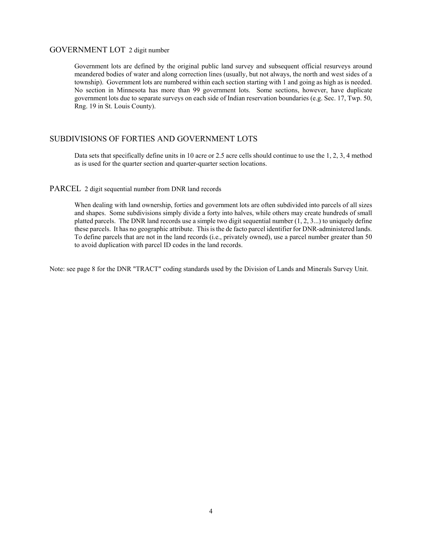## GOVERNMENT LOT 2 digit number

Government lots are defined by the original public land survey and subsequent official resurveys around meandered bodies of water and along correction lines (usually, but not always, the north and west sides of a township). Government lots are numbered within each section starting with 1 and going as high as is needed. No section in Minnesota has more than 99 government lots. Some sections, however, have duplicate government lots due to separate surveys on each side of Indian reservation boundaries (e.g. Sec. 17, Twp. 50, Rng. 19 in St. Louis County).

# SUBDIVISIONS OF FORTIES AND GOVERNMENT LOTS

Data sets that specifically define units in 10 acre or 2.5 acre cells should continue to use the 1, 2, 3, 4 method as is used for the quarter section and quarter-quarter section locations.

### PARCEL 2 digit sequential number from DNR land records

When dealing with land ownership, forties and government lots are often subdivided into parcels of all sizes and shapes. Some subdivisions simply divide a forty into halves, while others may create hundreds of small platted parcels. The DNR land records use a simple two digit sequential number  $(1, 2, 3...)$  to uniquely define these parcels. It has no geographic attribute. This is the de facto parcel identifier for DNR-administered lands. To define parcels that are not in the land records (i.e., privately owned), use a parcel number greater than 50 to avoid duplication with parcel ID codes in the land records.

Note: see page 8 for the DNR "TRACT" coding standards used by the Division of Lands and Minerals Survey Unit.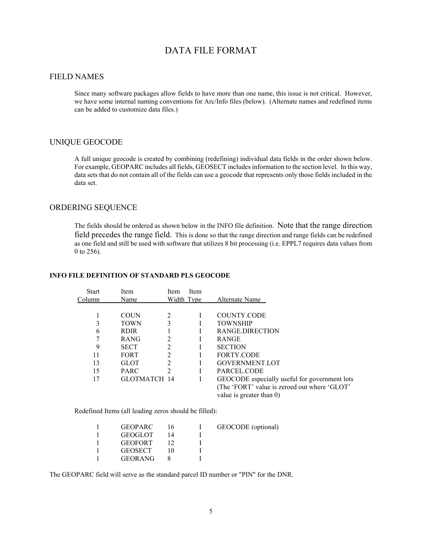# DATA FILE FORMAT

# FIELD NAMES

Since many software packages allow fields to have more than one name, this issue is not critical. However, we have some internal naming conventions for Arc/Info files (below). (Alternate names and redefined items can be added to customize data files.)

## UNIQUE GEOCODE

A full unique geocode is created by combining (redefining) individual data fields in the order shown below. For example, GEOPARC includes all fields, GEOSECT includes information to the section level. In this way, data sets that do not contain all of the fields can use a geocode that represents only those fields included in the data set.

# ORDERING SEQUENCE

The fields should be ordered as shown below in the INFO file definition. Note that the range direction field precedes the range field. This is done so that the range direction and range fields can be redefined as one field and still be used with software that utilizes 8 bit processing (i.e. EPPL7 requires data values from 0 to 256).

#### **INFO FILE DEFINITION OF STANDARD PLS GEOCODE**

| <b>Start</b> | <b>Item</b>  | <b>Item</b>    | Item |                                               |
|--------------|--------------|----------------|------|-----------------------------------------------|
| Column       | Name         | Width Type     |      | Alternate Name                                |
|              |              |                |      |                                               |
|              | <b>COUN</b>  | $\mathfrak{D}$ |      | <b>COUNTY.CODE</b>                            |
| 3            | <b>TOWN</b>  | 3              |      | <b>TOWNSHIP</b>                               |
| 6            | <b>RDIR</b>  |                |      | RANGE DIRECTION                               |
|              | <b>RANG</b>  | 2              |      | <b>RANGE</b>                                  |
| 9            | <b>SECT</b>  | 2              |      | <b>SECTION</b>                                |
| 11           | <b>FORT</b>  | $\mathfrak{D}$ |      | <b>FORTY CODE</b>                             |
| 13           | <b>GLOT</b>  | 2              |      | <b>GOVERNMENT.LOT</b>                         |
| 15           | PARC         | 2              |      | PARCEL CODE                                   |
| 17           | GLOTMATCH 14 |                | L    | GEOCODE especially useful for government lots |
|              |              |                |      | (The 'FORT' value is zeroed out where 'GLOT'  |
|              |              |                |      | value is greater than 0)                      |

Redefined Items (all leading zeros should be filled):

| <b>GEOPARC</b> | I6 | GEOCODE (optional) |
|----------------|----|--------------------|
| <b>GEOGLOT</b> |    |                    |
| <b>GEOFORT</b> |    |                    |
| <b>GEOSECT</b> |    |                    |
| <b>GEORANG</b> |    |                    |
|                |    |                    |

The GEOPARC field will serve as the standard parcel ID number or "PIN" for the DNR.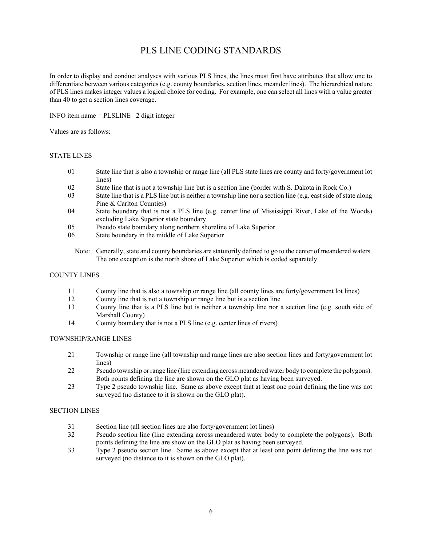# PLS LINE CODING STANDARDS

In order to display and conduct analyses with various PLS lines, the lines must first have attributes that allow one to differentiate between various categories (e.g. county boundaries, section lines, meander lines). The hierarchical nature of PLS lines makes integer values a logical choice for coding. For example, one can select all lines with a value greater than 40 to get a section lines coverage.

INFO item name = PLSLINE 2 digit integer

Values are as follows:

## STATE LINES

- 01 State line that is also a township or range line (all PLS state lines are county and forty/government lot lines)
- 02 State line that is not a township line but is a section line (border with S. Dakota in Rock Co.)
- 03 State line that is a PLS line but is neither a township line nor a section line (e.g. east side of state along Pine & Carlton Counties)
- 04 State boundary that is not a PLS line (e.g. center line of Mississippi River, Lake of the Woods) excluding Lake Superior state boundary
- 05 Pseudo state boundary along northern shoreline of Lake Superior
- 06 State boundary in the middle of Lake Superior
	- Note: Generally, state and county boundaries are statutorily defined to go to the center of meandered waters. The one exception is the north shore of Lake Superior which is coded separately.

### COUNTY LINES

- 11 County line that is also a township or range line (all county lines are forty/government lot lines)
- 12 County line that is not a township or range line but is a section line
- 13 County line that is a PLS line but is neither a township line nor a section line (e.g. south side of Marshall County)
- 14 County boundary that is not a PLS line (e.g. center lines of rivers)

### TOWNSHIP/RANGE LINES

- 21 Township or range line (all township and range lines are also section lines and forty/government lot lines)
- 22 Pseudo township or range line (line extending across meandered water body to complete the polygons). Both points defining the line are shown on the GLO plat as having been surveyed.
- 23 Type 2 pseudo township line. Same as above except that at least one point defining the line was not surveyed (no distance to it is shown on the GLO plat).

### SECTION LINES

- 31 Section line (all section lines are also forty/government lot lines)
- 32 Pseudo section line (line extending across meandered water body to complete the polygons). Both points defining the line are show on the GLO plat as having been surveyed.
- 33 Type 2 pseudo section line. Same as above except that at least one point defining the line was not surveyed (no distance to it is shown on the GLO plat).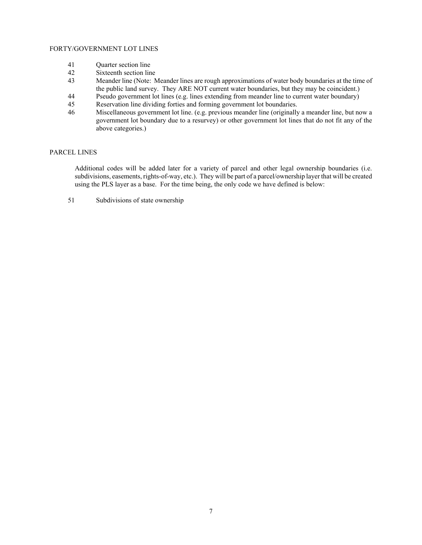### FORTY/GOVERNMENT LOT LINES

- 41 Quarter section line
- 42 Sixteenth section line
- 43 Meander line (Note: Meander lines are rough approximations of water body boundaries at the time of the public land survey. They ARE NOT current water boundaries, but they may be coincident.)
- 44 Pseudo government lot lines (e.g. lines extending from meander line to current water boundary)
- 45 Reservation line dividing forties and forming government lot boundaries.
- 46 Miscellaneous government lot line. (e.g. previous meander line (originally a meander line, but now a government lot boundary due to a resurvey) or other government lot lines that do not fit any of the above categories.)

### PARCEL LINES

Additional codes will be added later for a variety of parcel and other legal ownership boundaries (i.e. subdivisions, easements, rights-of-way, etc.). They will be part of a parcel/ownership layer that will be created using the PLS layer as a base. For the time being, the only code we have defined is below:

51 Subdivisions of state ownership